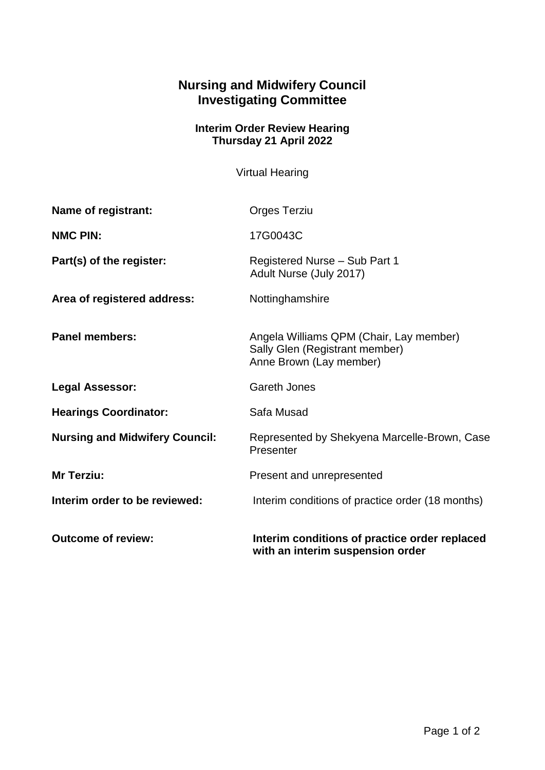## **Nursing and Midwifery Council Investigating Committee**

## **Interim Order Review Hearing Thursday 21 April 2022**

Virtual Hearing

| Name of registrant:                   | <b>Orges Terziu</b>                                                                                  |
|---------------------------------------|------------------------------------------------------------------------------------------------------|
| <b>NMC PIN:</b>                       | 17G0043C                                                                                             |
| Part(s) of the register:              | Registered Nurse - Sub Part 1<br>Adult Nurse (July 2017)                                             |
| Area of registered address:           | Nottinghamshire                                                                                      |
| <b>Panel members:</b>                 | Angela Williams QPM (Chair, Lay member)<br>Sally Glen (Registrant member)<br>Anne Brown (Lay member) |
| <b>Legal Assessor:</b>                | <b>Gareth Jones</b>                                                                                  |
| <b>Hearings Coordinator:</b>          | Safa Musad                                                                                           |
| <b>Nursing and Midwifery Council:</b> | Represented by Shekyena Marcelle-Brown, Case<br>Presenter                                            |
| Mr Terziu:                            | Present and unrepresented                                                                            |
| Interim order to be reviewed:         | Interim conditions of practice order (18 months)                                                     |
| <b>Outcome of review:</b>             | Interim conditions of practice order replaced<br>with an interim suspension order                    |